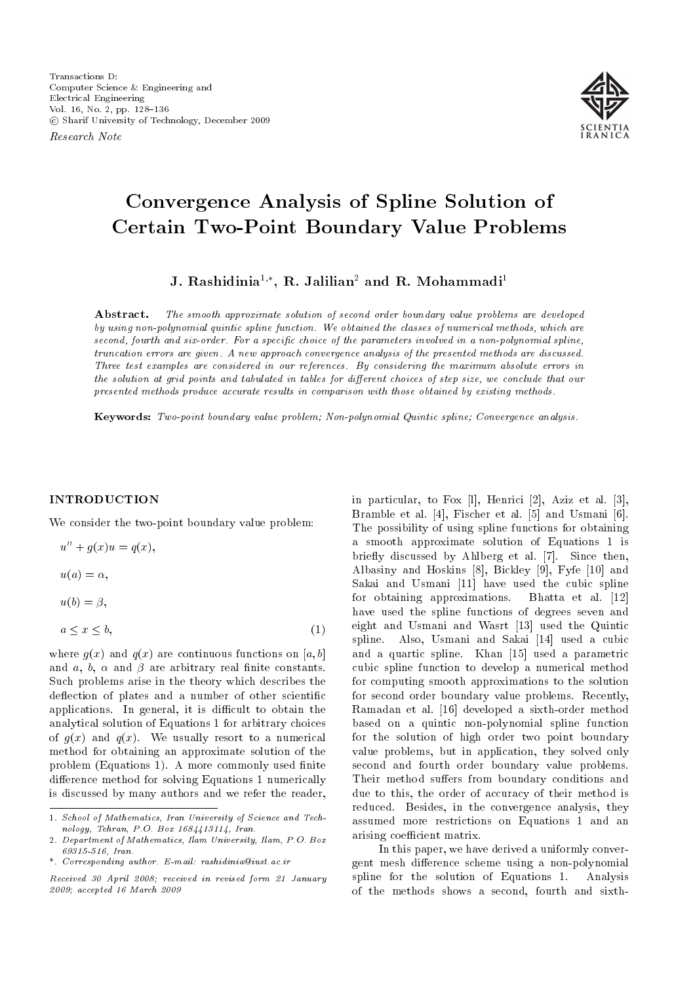Research Note



# Convergence Analysis of Spline Solution of Certain Two-Point Boundary Value Problems

J. Rashidinia $^{1,\ast},$  R. Jalilian $^2$  and R. Mohammadi $^1$ 

Abstract. The smooth approximate solution of second order boundary value problems are developed by using non-polynomial quintic spline function. We obtained the classes of numerical methods, which are second, fourth and six-order. For a specific choice of the parameters involved in a non-polynomial spline, truncation errors are given. A new approach convergence analysis of the presented methods are discussed. Three test examples are considered in our references. By considering the maximum absolute errors in the solution at grid points and tabulated in tables for different choices of step size, we conclude that our presented methods produce accurate results in comparison with those obtained by existing methods.

Keywords: Two-point boundary value problem; Non-polynomial Quintic spline; Convergence analysis.

# INTRODUCTION

We consider the two-point boundary value problem:

$$
u'' + g(x)u = q(x),
$$

 $u(a) = \alpha$ ,

 $u(b) = \beta$ ,

$$
a \le x \le b,\tag{1}
$$

where  $q(x)$  and  $q(x)$  are continuous functions on [a, b] and a, b,  $\alpha$  and  $\beta$  are arbitrary real finite constants. Such problems arise in the theory which describes the deflection of plates and a number of other scientific applications. In general, it is difficult to obtain the analytical solution of Equations 1 for arbitrary choices of  $q(x)$  and  $q(x)$ . We usually resort to a numerical method for obtaining an approximate solution of the problem (Equations 1). A more commonly used finite difference method for solving Equations 1 numerically is discussed by many authors and we refer the reader, in particular, to Fox [l], Henrici [2], Aziz et al. [3], Bramble et al. [4], Fischer et al. [5] and Usmani [6]. The possibility of using spline functions for obtaining a smooth approximate solution of Equations 1 is briefly discussed by Ahlberg et al. [7]. Since then, Albasiny and Hoskins [8], Bickley [9], Fyfe [10] and Sakai and Usmani [11] have used the cubic spline for obtaining approximations. Bhatta et al. [12] have used the spline functions of degrees seven and eight and Usmani and Wasrt [13] used the Quintic spline. Also, Usmani and Sakai [14] used a cubic and a quartic spline. Khan [15] used a parametric cubic spline function to develop a numerical method for computing smooth approximations to the solution for second order boundary value problems. Recently, Ramadan et al. [16] developed a sixth-order method based on a quintic non-polynomial spline function for the solution of high order two point boundary value problems, but in application, they solved only second and fourth order boundary value problems. Their method suffers from boundary conditions and due to this, the order of accuracy of their method is reduced. Besides, in the convergence analysis, they assumed more restrictions on Equations 1 and an arising coefficient matrix.

In this paper, we have derived a uniformly convergent mesh difference scheme using a non-polynomial spline for the solution of Equations 1. Analysis of the methods shows a second, fourth and sixth-

<sup>1.</sup> School of Mathematics, Iran University of Science and Technology, Tehran, P.O. Box 1684413114, Iran.

<sup>2.</sup> Department of Mathematics, Ilam University, Ilam, P.O. Box 69315-516, Iran.

<sup>\*.</sup> Corresponding author. E-mail: rashidinia@iust.ac.ir

Received 30 April 2008; received in revised form 21 January 2009; accepted 16 March 2009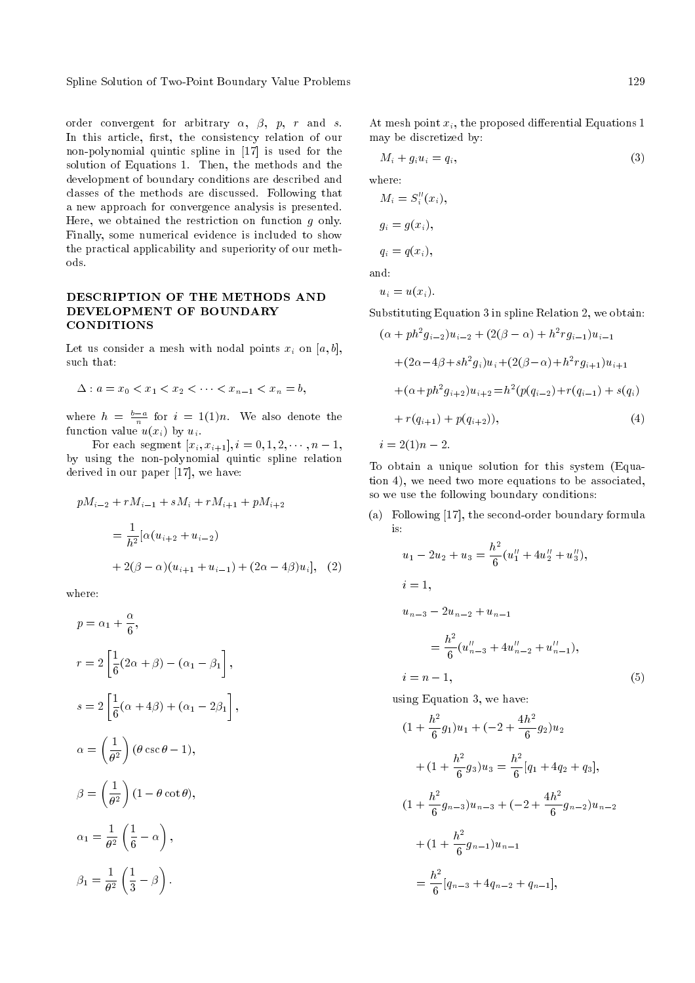Spline Solution of Two-Point Boundary Value Problems 129

order convergent for arbitrary  $\alpha$ ,  $\beta$ ,  $p$ ,  $r$  and  $s$ . In this article, first, the consistency relation of our non-polynomial quintic spline in [17] is used for the solution of Equations 1. Then, the methods and the development of boundary conditions are described and classes of the methods are discussed. Following that a new approach for convergence analysis is presented. Here, we obtained the restriction on function  $g$  only. Finally, some numerical evidence is included to show the practical applicability and superiority of our methods.

# DESCRIPTION OF THE METHODS AND DEVELOPMENT OF BOUNDARY **CONDITIONS**

Let us consider a mesh with nodal points  $x_i$  on  $[a, b]$ , such that:

$$
\Delta: a = x_0 < x_1 < x_2 < \cdots < x_{n-1} < x_n = b,
$$

where  $h = \frac{b-a}{n}$  for  $i = 1(1)n$ . We also denote the function value  $u(x_i)$  by  $u_i$ .

For each segment  $[x_i, x_{i+1}], i = 0, 1, 2, \dots, n-1,$ by using the non-polynomial quintic spline relation derived in our paper [17], we have:

$$
pM_{i-2} + rM_{i-1} + sM_i + rM_{i+1} + pM_{i+2}
$$
  
= 
$$
\frac{1}{h^2} [\alpha (u_{i+2} + u_{i-2}) + 2(\beta - \alpha)(u_{i+1} + u_{i-1}) + (2\alpha - 4\beta)u_i],
$$
 (2)

where:

$$
p = \alpha_1 + \frac{\alpha}{6},
$$
  
\n
$$
r = 2\left[\frac{1}{6}(2\alpha + \beta) - (\alpha_1 - \beta_1)\right],
$$
  
\n
$$
s = 2\left[\frac{1}{6}(\alpha + 4\beta) + (\alpha_1 - 2\beta_1)\right],
$$
  
\n
$$
\alpha = \left(\frac{1}{\theta^2}\right)(\theta \csc \theta - 1),
$$
  
\n
$$
\beta = \left(\frac{1}{\theta^2}\right)(1 - \theta \cot \theta),
$$
  
\n
$$
\alpha_1 = \frac{1}{\theta^2}\left(\frac{1}{6} - \alpha\right),
$$
  
\n
$$
\beta_1 = \frac{1}{\theta^2}\left(\frac{1}{3} - \beta\right).
$$

At mesh point  $x_i$ , the proposed differential Equations 1 may be discretized by:

$$
M_i + g_i u_i = q_i,\t\t(3)
$$

where:

$$
M_i = S_i''(x_i),
$$
  
\n
$$
g_i = g(x_i),
$$
  
\n
$$
q_i = q(x_i),
$$

and:

$$
u_i = u(x_i).
$$

Substituting Equation 3 in spline Relation 2, we obtain:

$$
(\alpha + ph^2 g_{i-2})u_{i-2} + (2(\beta - \alpha) + h^2 r g_{i-1})u_{i-1}
$$
  
+
$$
(2\alpha - 4\beta + sh^2 g_i)u_i + (2(\beta - \alpha) + h^2 r g_{i+1})u_{i+1}
$$
  
+
$$
(\alpha + ph^2 g_{i+2})u_{i+2} = h^2 (p(q_{i-2}) + r(q_{i-1}) + s(q_i)
$$
  
+
$$
r(q_{i+1}) + p(q_{i+2})),
$$
  

$$
i = 2(1)n - 2.
$$
 (4)

To obtain a unique solution for this system (Equation 4), we need two more equations to be associated, so we use the following boundary conditions:

(a) Following [17], the second-order boundary formula is:

$$
u_1 - 2u_2 + u_3 = \frac{h^2}{6} (u_1'' + 4u_2'' + u_3''),
$$
  
\n
$$
i = 1,
$$
  
\n
$$
u_{n-3} - 2u_{n-2} + u_{n-1}
$$
  
\n
$$
= \frac{h^2}{6} (u_{n-3}'' + 4u_{n-2}'' + u_{n-1}''),
$$
  
\n
$$
i = n - 1,
$$
\n(5)

using Equation 3, we have:

$$
(1 + \frac{h^2}{6}g_1)u_1 + (-2 + \frac{4h^2}{6}g_2)u_2
$$
  
+ 
$$
(1 + \frac{h^2}{6}g_3)u_3 = \frac{h^2}{6}[q_1 + 4q_2 + q_3],
$$
  

$$
(1 + \frac{h^2}{6}g_{n-3})u_{n-3} + (-2 + \frac{4h^2}{6}g_{n-2})u_{n-2}
$$
  
+ 
$$
(1 + \frac{h^2}{6}g_{n-1})u_{n-1}
$$
  
= 
$$
\frac{h^2}{6}[q_{n-3} + 4q_{n-2} + q_{n-1}],
$$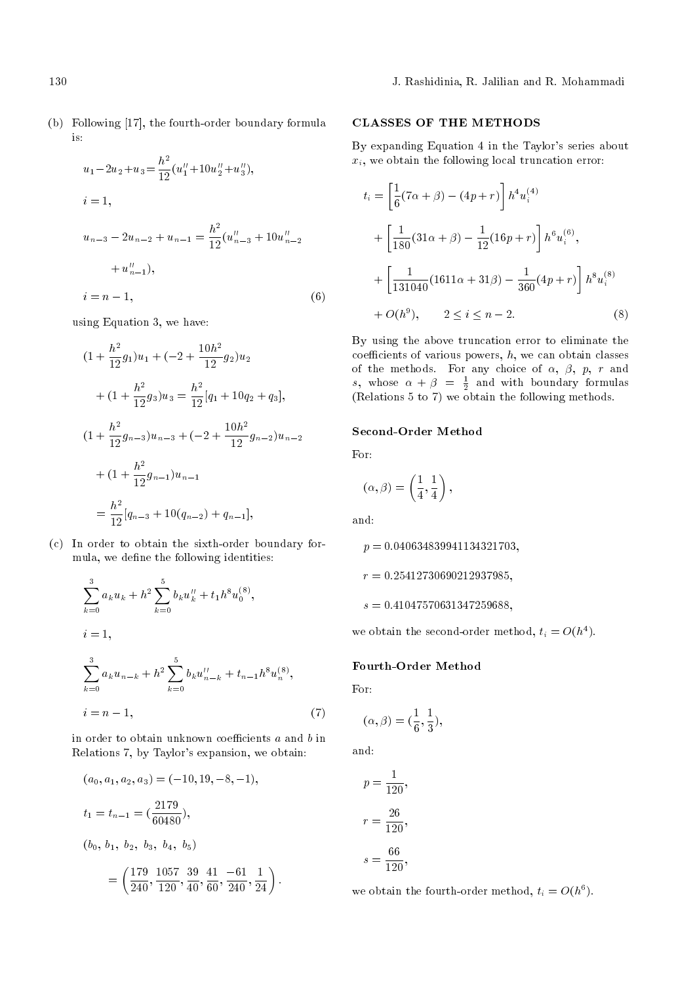(b) Following [17], the fourth-order boundary formula is:

$$
u_1 - 2u_2 + u_3 = \frac{h^2}{12} (u_1'' + 10u_2'' + u_3''),
$$
  
\n
$$
i = 1,
$$
  
\n
$$
u_{n-3} - 2u_{n-2} + u_{n-1} = \frac{h^2}{12} (u_{n-3}'' + 10u_{n-2}'' + u_{n-1}''),
$$
  
\n
$$
i = n - 1,
$$
  
\n(6)

using Equation 3, we have:

$$
(1 + \frac{h^2}{12}g_1)u_1 + (-2 + \frac{10h^2}{12}g_2)u_2
$$
  
+ 
$$
(1 + \frac{h^2}{12}g_3)u_3 = \frac{h^2}{12}[q_1 + 10q_2 + q_3],
$$
  

$$
(1 + \frac{h^2}{12}g_{n-3})u_{n-3} + (-2 + \frac{10h^2}{12}g_{n-2})u_{n-2}
$$
  
+ 
$$
(1 + \frac{h^2}{12}g_{n-1})u_{n-1}
$$
  
= 
$$
\frac{h^2}{12}[q_{n-3} + 10(q_{n-2}) + q_{n-1}],
$$

(c) In order to obtain the sixth-order boundary formula, we define the following identities:

$$
\sum_{k=0}^{3} a_k u_k + h^2 \sum_{k=0}^{5} b_k u''_k + t_1 h^8 u_0^{(8)},
$$
  
\n
$$
i = 1,
$$
  
\n
$$
\sum_{k=0}^{3} a_k u_{n-k} + h^2 \sum_{k=0}^{5} b_k u''_{n-k} + t_{n-1} h^8 u_n^{(8)},
$$
  
\n
$$
i = n - 1,
$$
\n(7)

in order to obtain unknown coefficients  $a$  and  $b$  in Relations 7, by Taylor's expansion, we obtain:

$$
(a_0, a_1, a_2, a_3) = (-10, 19, -8, -1),
$$
  
\n
$$
t_1 = t_{n-1} = \left(\frac{2179}{60480}\right),
$$
  
\n
$$
(b_0, b_1, b_2, b_3, b_4, b_5)
$$
  
\n
$$
= \left(\frac{179}{240}, \frac{1057}{120}, \frac{39}{40}, \frac{41}{60}, \frac{-61}{240}, \frac{1}{24}\right).
$$

# CLASSES OF THE METHODS

By expanding Equation 4 in the Taylor's series about  $x_i$ , we obtain the following local truncation error:

$$
t_i = \left[\frac{1}{6}(7\alpha + \beta) - (4p + r)\right] h^4 u_i^{(4)}
$$
  
+ 
$$
\left[\frac{1}{180}(31\alpha + \beta) - \frac{1}{12}(16p + r)\right] h^6 u_i^{(6)},
$$
  
+ 
$$
\left[\frac{1}{131040}(1611\alpha + 31\beta) - \frac{1}{360}(4p + r)\right] h^8 u_i^{(8)}
$$
  
+ 
$$
O(h^9), \qquad 2 \le i \le n - 2.
$$
 (8)

By using the above truncation error to eliminate the coefficients of various powers,  $h$ , we can obtain classes of the methods. For any choice of  $\alpha$ ,  $\beta$ ,  $p$ ,  $r$  and s, whose  $\alpha + \beta = \frac{1}{2}$  and with boundary formulas (Relations 5 to 7) we obtain the following methods.

# Second-Order Method

For:

$$
(\alpha,\beta)=\left(\frac{1}{4},\frac{1}{4}\right),
$$

and:

 $p = 0.040634839941134321703,$  $r = 0.25412730690212937985,$ 

 $s = 0.41047570631347259688,$ 

we obtain the second-order method,  $t_i = O(h^4)$ .

### Fourth-Order Method

For:

$$
(\alpha,\beta)=(\frac{1}{6},\frac{1}{3}),
$$

and:

$$
p = \frac{1}{120},
$$
  

$$
r = \frac{26}{120},
$$
  

$$
s = \frac{66}{120},
$$

we obtain the fourth-order method,  $t_i = O(h^6)$ .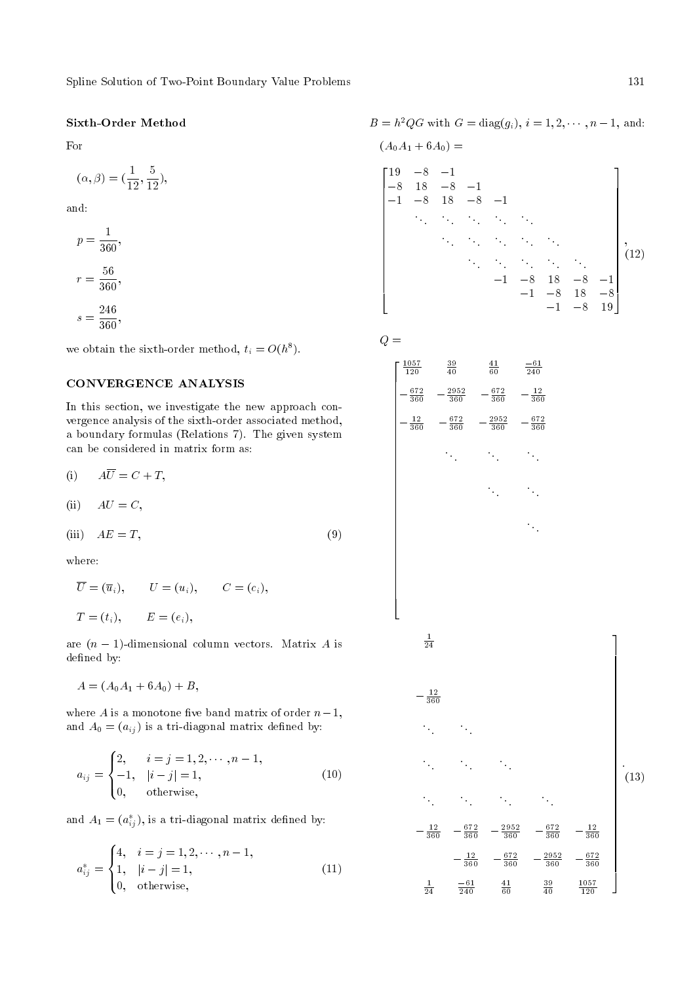# Sixth-Order Method

For

$$
(\alpha, \beta) = (\frac{1}{12}, \frac{5}{12}),
$$

and:

$$
p = \frac{1}{360},
$$
  

$$
r = \frac{56}{360},
$$
  

$$
s = \frac{246}{360},
$$

we obtain the sixth-order method,  $t_i = O(h^8)$ .

# CONVERGENCE ANALYSIS

In this section, we investigate the new approach convergence analysis of the sixth-order associated method, a boundary formulas (Relations 7). The given system can be considered in matrix form as:

$$
(i) \qquad A\overline{U} = C + T,
$$

$$
(ii) \tAU = C,
$$

$$
(iii) \tAE = T,\t(9)
$$

where:

$$
\overline{U} = (\overline{u}_i), \qquad U = (u_i), \qquad C = (c_i),
$$
  

$$
T = (t_i), \qquad E = (e_i),
$$

are  $(n - 1)$ -dimensional column vectors. Matrix A is defined by:

 $A = (A_0A_1 + 6A_0) + B,$ 

where A is a monotone five band matrix of order  $n-1$ , and  $A_0 = (a_{ij})$  is a tri-diagonal matrix defined by:

$$
a_{ij} = \begin{cases} 2, & i = j = 1, 2, \cdots, n - 1, \\ -1, & |i - j| = 1, \\ 0, & \text{otherwise,} \end{cases}
$$
(10)

and  $A_1 = (a_{ij}^*)$ , is a tri-diagonal matrix defined by:

$$
a_{ij}^* = \begin{cases} 4, & i = j = 1, 2, \cdots, n - 1, \\ 1, & |i - j| = 1, \\ 0, & \text{otherwise,} \end{cases}
$$
(11)

 $B = h^2 Q G$  with  $G = diag(g_i), i = 1, 2, \dots, n-1$ , and:

$$
(A_0 A_1 + 6A_0) =
$$
\n
$$
\begin{bmatrix}\n19 & -8 & -1 \\
-8 & 18 & -8 & -1 \\
-1 & -8 & 18 & -8 & -1 \\
& \ddots & \ddots & \ddots & \ddots\n\end{bmatrix}
$$
\n
$$
\begin{bmatrix}\n19 & -8 & -1 \\
-8 & 18 & -8 & -1 \\
& \ddots & \ddots & \ddots & \ddots\n\end{bmatrix}
$$
\n
$$
\begin{bmatrix}\n12 \\
12\n\end{bmatrix}
$$
\n
$$
-1 & -8 & 18 & -8 & -1 \\
& -1 & -8 & 18 & -8 \\
& -1 & -8 & 19\n\end{bmatrix}
$$

$$
Q\,=\,
$$

$$
\begin{bmatrix}\n\frac{1057}{120} & \frac{39}{40} & \frac{41}{60} & \frac{-61}{240} \\
-\frac{672}{360} & -\frac{2952}{360} & -\frac{672}{360} & -\frac{12}{360} \\
-\frac{12}{360} & -\frac{672}{360} & -\frac{2952}{360} & -\frac{672}{360} \\
&\ddots & \ddots & \ddots & \ddots\n\end{bmatrix}
$$
\n
$$
-\frac{1}{360}
$$
\n
$$
\begin{bmatrix}\n\frac{1}{24} & -\frac{12}{360} & -\frac{872}{360} & -\frac{2952}{360} & -\frac{672}{360} & -\frac{12}{360} \\
&\ddots & \ddots & \ddots & \ddots\n\end{bmatrix}
$$
\n
$$
-\frac{12}{360} & -\frac{672}{360} & -\frac{2952}{360} & -\frac{672}{360} & -\frac{12}{360} \\
&\frac{1}{24} & \frac{-61}{240} & \frac{41}{60} & \frac{39}{40} & \frac{1057}{120}\n\end{bmatrix}
$$
\n(13)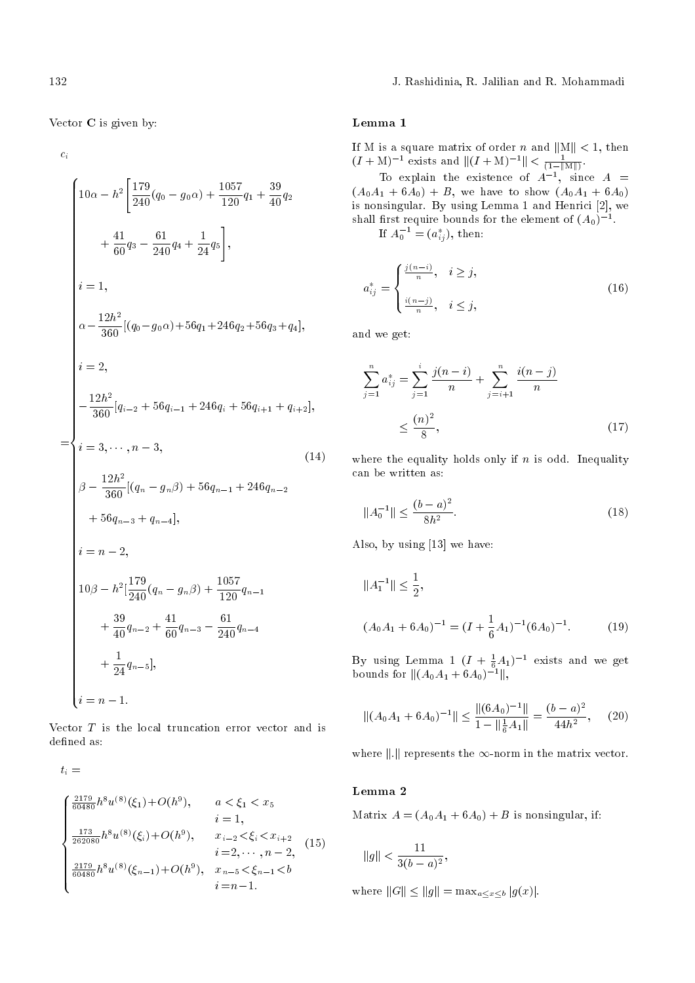132 J. Rashidinia, R. Jalilian and R. Mohammadi

Vector C is given by:

 $c_i$ 

$$
\begin{cases}\n10\alpha - h^2 \left[ \frac{179}{240}(q_0 - g_0\alpha) + \frac{1057}{120}q_1 + \frac{39}{40}q_2 + \frac{41}{60}q_3 - \frac{61}{240}q_4 + \frac{1}{24}q_5 \right], \\
\dot{i} = 1, \\
\alpha - \frac{12h^2}{360}[(q_0 - g_0\alpha) + 56q_1 + 246q_2 + 56q_3 + q_4], \\
\dot{i} = 2, \\
-\frac{12h^2}{360}[q_{i-2} + 56q_{i-1} + 246q_i + 56q_{i+1} + q_{i+2}], \\
\dot{i} = 3, \dots, n - 3, \\
\beta - \frac{12h^2}{360}[(q_n - g_n\beta) + 56q_{n-1} + 246q_{n-2} + 56q_{n-3} + q_{n-4}], \\
\dot{i} = n - 2, \\
10\beta - h^2 \left[ \frac{179}{240}(q_n - g_n\beta) + \frac{1057}{120}q_{n-1} + \frac{39}{40}q_{n-2} + \frac{41}{60}q_{n-3} - \frac{61}{240}q_{n-4} + \frac{1}{24}q_{n-5} \right], \\
\dot{i} = n - 1.\n\end{cases}
$$

Vector  $T$  is the local truncation error vector and is defined as:

 $t_i =$ 

$$
\begin{cases}\n\frac{2179}{60480}h^8u^{(8)}(\xi_1)+O(h^9), & a < \xi_1 < x_5 \\
i = 1, \\
\frac{173}{262080}h^8u^{(8)}(\xi_i)+O(h^9), & x_{i-2} < \xi_i < x_{i+2} \\
i = 2, \cdots, n-2, \\
\frac{2179}{60480}h^8u^{(8)}(\xi_{n-1})+O(h^9), & x_{n-5} < \xi_{n-1} < b \\
i = n-1.\n\end{cases}
$$
\n(15)

# Lemma 1

If M is a square matrix of order n and  $||M|| < 1$ , then  $(I + M)^{-1}$  exists and  $||(I + M)^{-1}|| < \frac{1}{(1 - ||M||)}$ .

To explain the existence of  $A^{-1}$ , since  $A =$  $(A_0A_1 + 6A_0) + B$ , we have to show  $(A_0A_1 + 6A_0)$ is nonsingular. By using Lemma 1 and Henrici [2], we shall first require bounds for the element of  $(A_0)^{-1}$ . If  $A_0^{-1} = (a_{ij}^*),$  then:

$$
a_{ij}^{*} = \begin{cases} \frac{j(n-i)}{n}, & i \geq j, \\ \frac{i(n-j)}{n}, & i \leq j, \end{cases}
$$
 (16)

and we get:

$$
\sum_{j=1}^{n} a_{ij}^{*} = \sum_{j=1}^{i} \frac{j(n-i)}{n} + \sum_{j=i+1}^{n} \frac{i(n-j)}{n}
$$

$$
\leq \frac{(n)^2}{8},
$$
(17)

where the equality holds only if  $n$  is odd. Inequality can be written as:

$$
||A_0^{-1}|| \le \frac{(b-a)^2}{8h^2}.
$$
\n(18)

Also, by using [13] we have:

$$
||A_1^{-1}|| \le \frac{1}{2},
$$
  

$$
(A_0A_1 + 6A_0)^{-1} = (I + \frac{1}{6}A_1)^{-1}(6A_0)^{-1}.
$$
 (19)

By using Lemma 1  $(I + \frac{1}{6}A_1)^{-1}$  exists and we get bounds for  $\|(A_0A_1 + 6A_0)^{-1}\|$ ,

$$
\|(A_0A_1 + 6A_0)^{-1}\| \le \frac{\|(6A_0)^{-1}\|}{1 - \|\frac{1}{6}A_1\|} = \frac{(b-a)^2}{44h^2},\qquad(20)
$$

where  $\|.\|$  represents the  $\infty$ -norm in the matrix vector.

# Lemma 2

Matrix  $A = (A_0A_1 + 6A_0) + B$  is nonsingular, if:

$$
\|g\| < \frac{11}{3(b-a)^2},
$$

where  $||G|| \le ||g|| = \max_{a \le x \le b} |g(x)|$ .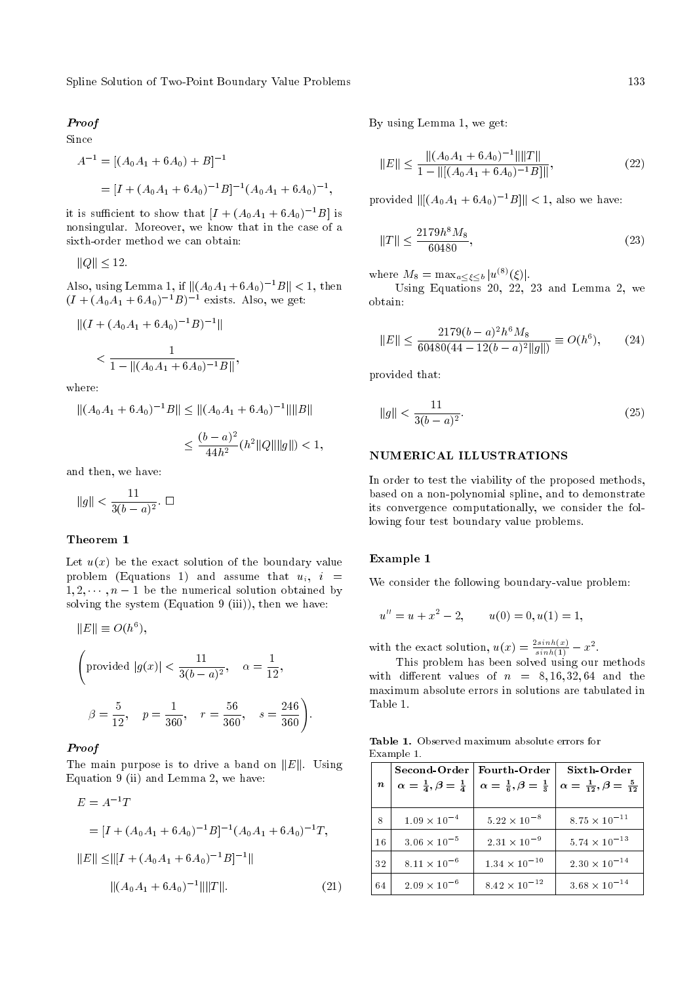Spline Solution of Two-Point Boundary Value Problems 133

#### Proof

#### Since

$$
A^{-1} = [(A_0 A_1 + 6A_0) + B]^{-1}
$$
  
=  $[I + (A_0 A_1 + 6A_0)^{-1}B]^{-1}(A_0 A_1 + 6A_0)^{-1}$ 

it is sufficient to show that  $[I + (A_0A_1 + 6A_0)^{-1}B]$  is nonsingular. Moreover, we know that in the case of a sixth-order method we can obtain:

$$
||Q|| \leq 12.
$$

Also, using Lemma 1, if  $||(A_0A_1 + 6A_0)^{-1}B|| < 1$ , then  $(I + (A_0A_1 + 6A_0)^{-1}B)^{-1}$  exists. Also, we get:

$$
||(I + (A_0A_1 + 6A_0)^{-1}B)^{-1}||
$$
  
< 
$$
< \frac{1}{1 - ||(A_0A_1 + 6A_0)^{-1}B||},
$$

where:

$$
||(A_0A_1 + 6A_0)^{-1}B|| \le ||(A_0A_1 + 6A_0)^{-1}|| ||B||
$$
  

$$
\le \frac{(b-a)^2}{44h^2}(h^2||Q||||g||) < 1,
$$

and then, we have:

$$
\|g\| < \frac{11}{3(b-a)^2}.\ \Box
$$

#### Theorem 1

Let  $u(x)$  be the exact solution of the boundary value problem (Equations 1) and assume that  $u_i$ ,  $i =$  $1, 2, \dots, n-1$  be the numerical solution obtained by solving the system (Equation 9 (iii)), then we have:

 $||E|| \equiv O(h^6),$ 

$$
\left(\text{provided }|g(x)| < \frac{11}{3(b-a)^2}, \quad \alpha = \frac{1}{12},\right)
$$
\n
$$
\beta = \frac{5}{12}, \quad p = \frac{1}{360}, \quad r = \frac{56}{360}, \quad s = \frac{246}{360}\right).
$$

#### Proof

The main purpose is to drive a band on  $||E||$ . Using Equation 9 (ii) and Lemma 2, we have:

$$
E = A^{-1}T
$$
  
=  $[I + (A_0A_1 + 6A_0)^{-1}B]^{-1}(A_0A_1 + 6A_0)^{-1}T,$   

$$
||E|| \le ||[I + (A_0A_1 + 6A_0)^{-1}B]^{-1}||
$$
  

$$
||(A_0A_1 + 6A_0)^{-1}|| ||T||.
$$
 (21)

By using Lemma 1, we get:

$$
||E|| \le \frac{||(A_0A_1 + 6A_0)^{-1}|| ||T||}{1 - ||[(A_0A_1 + 6A_0)^{-1}B]||},
$$
\n(22)

provided  $\|[(A_0A_1 + 6A_0)^{-1}B]\| < 1$ , also we have:

$$
||T|| \le \frac{2179h^8 M_8}{60480},\tag{23}
$$

where  $M_8 = \max_{a \leq \xi \leq b} |u^{(8)}(\xi)|$ .

Using Equations 20,  $22$ , 23 and Lemma 2, we obtain:

$$
||E|| \le \frac{2179(b-a)^2h^6M_8}{60480(44-12(b-a)^2||g||)} \equiv O(h^6), \qquad (24)
$$

provided that:

;

$$
\|g\| < \frac{11}{3(b-a)^2}.\tag{25}
$$

# NUMERICAL ILLUSTRATIONS

In order to test the viability of the proposed methods, based on a non-polynomial spline, and to demonstrate its convergence computationally, we consider the following four test boundary value problems.

#### Example 1

We consider the following boundary-value problem:

$$
u'' = u + x^2 - 2, \qquad u(0) = 0, u(1) = 1,
$$

with the exact solution,  $u(x) = \frac{2\sinh(x)}{\sinh(1)} - x^2$ .

This problem has been solved using our methods with different values of  $n = 8, 16, 32, 64$  and the maximum absolute errors in solutions are tabulated in Table 1.

Table 1. Observed maximum absolute errors for Example 1.

| $\boldsymbol{n}$ | Second-Order   Fourth-Order<br>$\alpha = \frac{1}{4}, \beta = \frac{1}{4}$ | $\alpha = \frac{1}{6}, \beta = \frac{1}{3}$ | Sixth-Order<br>$\alpha = \frac{1}{12}, \beta = \frac{5}{12}$ |
|------------------|----------------------------------------------------------------------------|---------------------------------------------|--------------------------------------------------------------|
| 8                | $1.09 \times 10^{-4}$                                                      | $5.22 \times 10^{-8}$                       | $8.75 \times 10^{-11}$                                       |
| 16               | $3.06 \times 10^{-5}$                                                      | $2.31 \times 10^{-9}$                       | $5.74 \times 10^{-13}$                                       |
| 32               | $8.11 \times 10^{-6}$                                                      | $1.34 \times 10^{-10}$                      | $2.30 \times 10^{-14}$                                       |
| 64               | $2.09 \times 10^{-6}$                                                      | $8.42 \times 10^{-12}$                      | $3.68 \times 10^{-14}$                                       |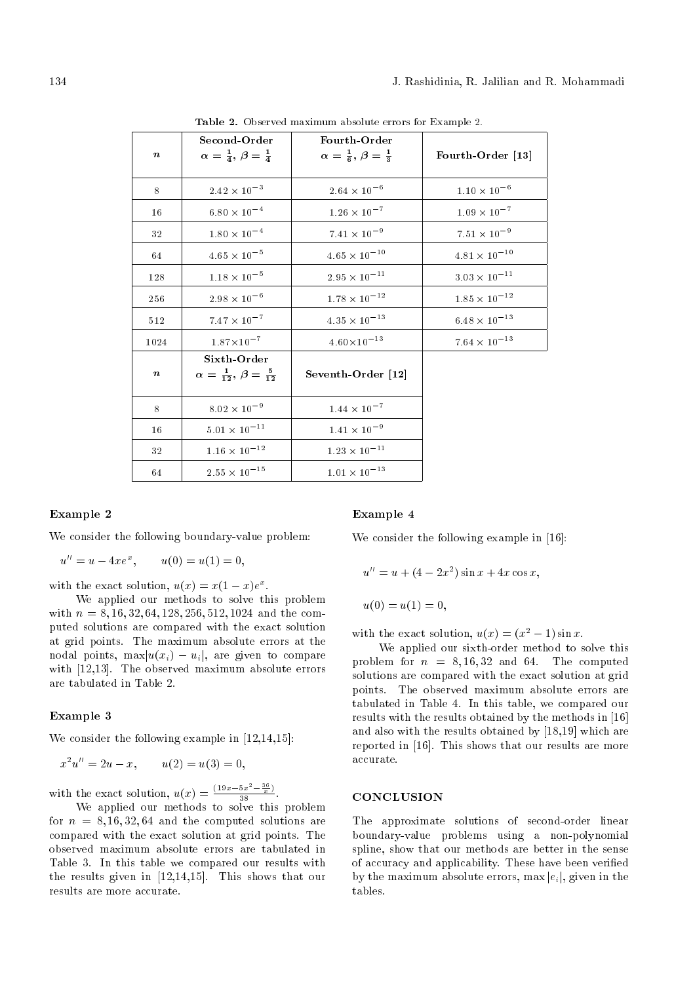| $\boldsymbol{n}$ | Second-Order<br>$\alpha = \frac{1}{4}, \beta = \frac{1}{4}$  | Fourth-Order<br>$\alpha = \frac{1}{6}, \beta = \frac{1}{3}$ | Fourth-Order [13]         |
|------------------|--------------------------------------------------------------|-------------------------------------------------------------|---------------------------|
| 8                | $2.42$ $\times$ $10^{-3}$                                    | $2.64\times10^{-6}$                                         | $1.10$ $\times$ $10^{-6}$ |
| 16               | $6.80\times10^{-4}$                                          | $1.26$ $\times$ $10^{-7}$                                   | $1.09$ $\times$ $10^{-7}$ |
| 32               | $1.80\,\times\,10^{-4}$                                      | $7.41\times10^{-9}$                                         | $7.51\times10^{-9}$       |
| 64               | $4.65$ $\times$ $10^{-5}$                                    | $4.65\times10^{-10}$                                        | $4.81\times10^{-10}$      |
| 128              | $1.18\,\times\,10^{-5}$                                      | $2.95\times10^{-11}$                                        | $3.03\times10^{-11}$      |
| 256              | $2.98\,\times\,10^{-6}$                                      | $1.78$ $\times$ $10^{-12}$                                  | $1.85\times10^{-12}$      |
| 512              | $7.47\times10^{-7}$                                          | $4.35\times10^{-13}$                                        | $6.48 \times 10^{-13}$    |
| 1024             | $1.87 \times 10^{-7}$                                        | $4.60 \times 10^{-13}$                                      | $7.64\times10^{-13}$      |
| $\boldsymbol{n}$ | Sixth Order<br>$\alpha = \frac{1}{12}, \beta = \frac{5}{12}$ | Seventh-Order [12]                                          |                           |
| 8                | $8.02$ $\times$ $10^{-9}$                                    | $1.44\times10^{-7}$                                         |                           |
| 16               | $5.01\times10^{-11}$                                         | $1.41\times10^{-9}$                                         |                           |
| 32               | $1.16$ $\times$ $10^{-12}$                                   | $1.23\times10^{-11}$                                        |                           |
| 64               | $2.55\times10^{-15}$                                         | $1.01\times10^{-13}$                                        |                           |

Table 2. Observed maximum absolute errors for Example 2.

#### Example 2

We consider the following boundary-value problem:

 $u'' = u - 4xe^x$  $u(0) = u(1) = 0,$ 

with the exact solution,  $u(x) = x(1-x)e^x$ .

We applied our methods to solve this problem with  $n = 8, 16, 32, 64, 128, 256, 512, 1024$  and the computed solutions are compared with the exact solution at grid points. The maximum absolute errors at the nodal points,  $\max|u(x_i) - u_i|$ , are given to compare with [12,13]. The observed maximum absolute errors are tabulated in Table 2.

### Example 3

We consider the following example in  $[12,14,15]$ :

$$
x^2u'' = 2u - x, \qquad u(2) = u(3) = 0,
$$

with the exact solution,  $u(x) = \frac{(19x - 5x^2 - \frac{36}{x})}{38}$ .

We applied our methods to solve this problem for  $n = 8, 16, 32, 64$  and the computed solutions are compared with the exact solution at grid points. The observed maximum absolute errors are tabulated in Table 3. In this table we compared our results with the results given in [12,14,15]. This shows that our results are more accurate.

# Example 4

We consider the following example in [16]:

$$
u'' = u + (4 - 2x^2) \sin x + 4x \cos x,
$$

 $u(0) = u(1) = 0,$ 

with the exact solution,  $u(x) = (x^2 - 1) \sin x$ .

We applied our sixth-order method to solve this problem for  $n = 8, 16, 32$  and 64. The computed solutions are compared with the exact solution at grid points. The observed maximum absolute errors are tabulated in Table 4. In this table, we compared our results with the results obtained by the methods in [16] and also with the results obtained by [18,19] which are reported in [16]. This shows that our results are more accurate.

# **CONCLUSION**

The approximate solutions of second-order linear boundary-value problems using a non-polynomial spline, show that our methods are better in the sense of accuracy and applicability. These have been veried by the maximum absolute errors,  $\max |e_i|$ , given in the tables.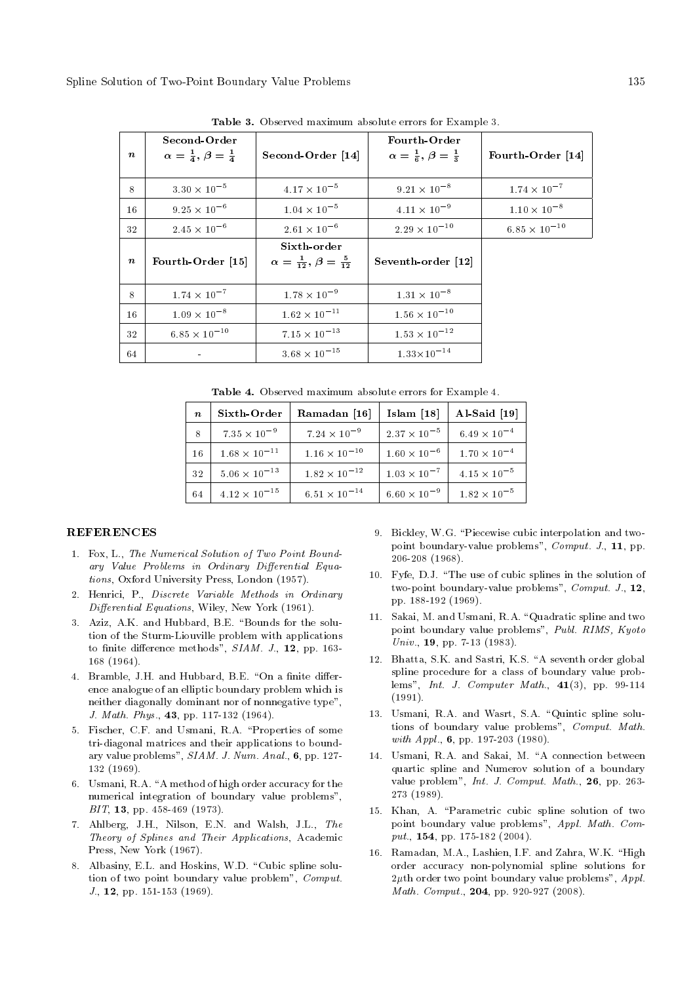| $\boldsymbol{n}$ | Second-Order<br>$\alpha = \frac{1}{4}, \beta = \frac{1}{4}$ | Second-Order [14]                                            | Fourth-Order<br>$\alpha = \frac{1}{6}, \beta = \frac{1}{3}$ | Fourth-Order [14]     |
|------------------|-------------------------------------------------------------|--------------------------------------------------------------|-------------------------------------------------------------|-----------------------|
| 8                | $3.30 \times 10^{-5}$                                       | $4.17 \times 10^{-5}$                                        | $9.21 \times 10^{-8}$                                       | $1.74 \times 10^{-7}$ |
| 16               | $9.25\times10^{-6}$                                         | $1.04 \times 10^{-5}$                                        | $4.11 \times 10^{-9}$                                       | $1.10\times10^{-8}$   |
| 32               | $2.45 \times 10^{-6}$                                       | $2.61 \times 10^{-6}$                                        | $2.29\times10^{-10}$                                        | $6.85\times10^{-10}$  |
| $\boldsymbol{n}$ | Fourth-Order [15]                                           | Sixth-order<br>$\alpha = \frac{1}{12}, \beta = \frac{5}{12}$ | Seventh-order [12]                                          |                       |
| 8                | $1.74 \times 10^{-7}$                                       | $1.78 \times 10^{-9}$                                        | $1.31\times10^{-8}$                                         |                       |
| 16               | $1.09\times10^{-8}$                                         | $1.62 \times 10^{-11}$                                       | $1.56\times10^{-10}$                                        |                       |
| 32               | $6.85\times10^{-10}$                                        | $7.15 \times 10^{-13}$                                       | $1.53\times10^{-12}$                                        |                       |
| 64               |                                                             | $3.68 \times 10^{-15}$                                       | $1.33\!\times\!10^{-14}$                                    |                       |

Table 3. Observed maximum absolute errors for Example 3.

Table 4. Observed maximum absolute errors for Example 4.

| $\boldsymbol{n}$ | Sixth Order            | Ramadan [16]           | Islam $[18]$          | Al-Said [19]          |
|------------------|------------------------|------------------------|-----------------------|-----------------------|
|                  | $7.35 \times 10^{-9}$  | $7.24 \times 10^{-9}$  | $2.37 \times 10^{-5}$ | $6.49 \times 10^{-4}$ |
| 16               | $1.68 \times 10^{-11}$ | $1.16 \times 10^{-10}$ | $1.60 \times 10^{-6}$ | $1.70 \times 10^{-4}$ |
| 32               | $5.06 \times 10^{-13}$ | $1.82 \times 10^{-12}$ | $1.03 \times 10^{-7}$ | $4.15 \times 10^{-5}$ |
| 64               | $4.12 \times 10^{-15}$ | $6.51 \times 10^{-14}$ | $6.60 \times 10^{-9}$ | $1.82 \times 10^{-5}$ |

#### **REFERENCES**

- 1. Fox, L., The Numerical Solution of Two Point Boundary Value Problems in Ordinary Differential Equations, Oxford University Press, London (1957).
- 2. Henrici, P., Discrete Variable Methods in Ordinary  $Differential$  Equations, Wiley, New York (1961).
- 3. Aziz, A.K. and Hubbard, B.E. "Bounds for the solution of the Sturm-Liouville problem with applications to finite difference methods",  $SIAM. J., 12$ , pp. 163-168 (1964).
- 4. Bramble, J.H. and Hubbard, B.E. "On a finite difference analogue of an elliptic boundary problem which is neither diagonally dominant nor of nonnegative type", J. Math. Phys., 43, pp. 117-132 (1964).
- 5. Fischer, C.F. and Usmani, R.A. \Properties of some tri-diagonal matrices and their applications to boundary value problems", SIAM. J. Num. Anal., 6, pp. 127- 132 (1969).
- 6. Usmani, R.A. "A method of high order accuracy for the numerical integration of boundary value problems", BIT, 13, pp. 458-469 (1973).
- 7. Ahlberg, J.H., Nilson, E.N. and Walsh, J.L., The Theory of Splines and Their Applications, Academic Press, New York (1967).
- 8. Albasiny, E.L. and Hoskins, W.D. "Cubic spline solution of two point boundary value problem", Comput. J., 12, pp. 151-153 (1969).
- 9. Bickley, W.G. "Piecewise cubic interpolation and twopoint boundary-value problems", Comput. J., 11, pp. 206-208 (1968).
- 10. Fyfe, D.J. "The use of cubic splines in the solution of two-point boundary-value problems", Comput. J., 12, pp. 188-192 (1969).
- 11. Sakai, M. and Usmani, R.A. "Quadratic spline and two point boundary value problems", Publ. RIMS, Kyoto Univ., 19, pp. 7-13 (1983).
- 12. Bhatta, S.K. and Sastri, K.S. "A seventh order global spline procedure for a class of boundary value problems", Int. J. Computer Math.,  $41(3)$ , pp. 99-114 (1991).
- 13. Usmani, R.A. and Wasrt, S.A. "Quintic spline solutions of boundary value problems", Comput. Math. with Appl., **6**, pp. 197-203 (1980).
- 14. Usmani, R.A. and Sakai, M. "A connection between quartic spline and Numerov solution of a boundary value problem", Int. J. Comput. Math., 26, pp. 263- 273 (1989).
- 15. Khan, A. \Parametric cubic spline solution of two point boundary value problems", Appl. Math. Comput., **154**, pp. 175-182 (2004).
- 16. Ramadan, M.A., Lashien, I.F. and Zahra, W.K. "High order accuracy non-polynomial spline solutions for  $2\mu$ th order two point boundary value problems", Appl. Math. Comput., 204, pp. 920-927 (2008).